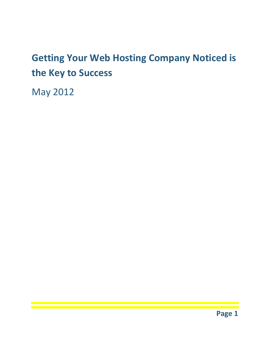### **Getting Your Web Hosting Company Noticed is the Key to Success**

May 2012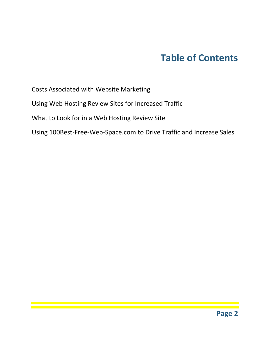### **Table of Contents**

Costs Associated with Website Marketing

Using Web Hosting Review Sites for Increased Traffic

What to Look for in a Web Hosting Review Site

Using 100Best-Free-Web-Space.com to Drive Traffic and Increase Sales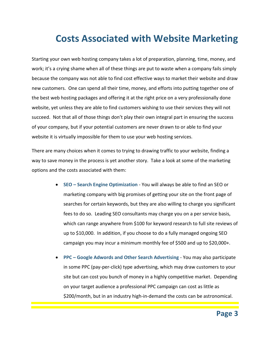### **Costs Associated with Website Marketing**

Starting your own web hosting company takes a lot of preparation, planning, time, money, and work; it's a crying shame when all of these things are put to waste when a company fails simply because the company was not able to find cost effective ways to market their website and draw new customers. One can spend all their time, money, and efforts into putting together one of the best web hosting packages and offering it at the right price on a very professionally done website, yet unless they are able to find customers wishing to use their services they will not succeed. Not that all of those things don't play their own integral part in ensuring the success of your company, but if your potential customers are never drawn to or able to find your website it is virtually impossible for them to use your web hosting services.

There are many choices when it comes to trying to drawing traffic to your website, finding a way to save money in the process is yet another story. Take a look at some of the marketing options and the costs associated with them:

- **SEO – Search Engine Optimization** You will always be able to find an SEO or marketing company with big promises of getting your site on the front page of searches for certain keywords, but they are also willing to charge you significant fees to do so. Leading SEO consultants may charge you on a per service basis, which can range anywhere from \$100 for keyword research to full site reviews of up to \$10,000. In addition, if you choose to do a fully managed ongoing SEO campaign you may incur a minimum monthly fee of \$500 and up to \$20,000+.
- **PPC – Google Adwords and Other Search Advertising** You may also participate in some PPC (pay-per-click) type advertising, which may draw customers to your site but can cost you bunch of money in a highly competitive market. Depending on your target audience a professional PPC campaign can cost as little as \$200/month, but in an industry high-in-demand the costs can be astronomical.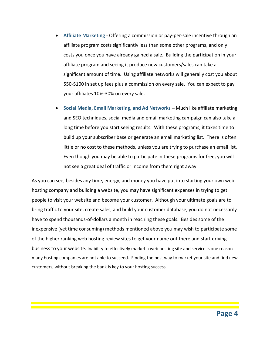- **Affiliate Marketing** Offering a commission or pay-per-sale incentive through an affiliate program costs significantly less than some other programs, and only costs you once you have already gained a sale. Building the participation in your affiliate program and seeing it produce new customers/sales can take a significant amount of time. Using affiliate networks will generally cost you about \$50-\$100 in set up fees plus a commission on every sale. You can expect to pay your affiliates 10%-30% on every sale.
- **Social Media, Email Marketing, and Ad Networks –** Much like affiliate marketing and SEO techniques, social media and email marketing campaign can also take a long time before you start seeing results. With these programs, it takes time to build up your subscriber base or generate an email marketing list. There is often little or no cost to these methods, unless you are trying to purchase an email list. Even though you may be able to participate in these programs for free, you will not see a great deal of traffic or income from them right away.

As you can see, besides any time, energy, and money you have put into starting your own web hosting company and building a website, you may have significant expenses in trying to get people to visit your website and become your customer. Although your ultimate goals are to bring traffic to your site, create sales, and build your customer database, you do not necessarily have to spend thousands-of-dollars a month in reaching these goals. Besides some of the inexpensive (yet time consuming) methods mentioned above you may wish to participate some of the higher ranking web hosting review sites to get your name out there and start driving business to your website. Inability to effectively market a web hosting site and service is one reason many hosting companies are not able to succeed. Finding the best way to market your site and find new customers, without breaking the bank is key to your hosting success.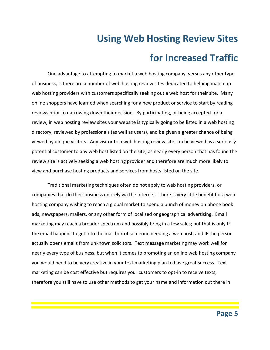## **Using Web Hosting Review Sites for Increased Traffic**

One advantage to attempting to market a web hosting company, versus any other type of business, is there are a number of web hosting review sites dedicated to helping match up web hosting providers with customers specifically seeking out a web host for their site. Many online shoppers have learned when searching for a new product or service to start by reading reviews prior to narrowing down their decision. By participating, or being accepted for a review, in web hosting review sites your website is typically going to be listed in a web hosting directory, reviewed by professionals (as well as users), and be given a greater chance of being viewed by unique visitors. Any visitor to a web hosting review site can be viewed as a seriously potential customer to any web host listed on the site; as nearly every person that has found the review site is actively seeking a web hosting provider and therefore are much more likely to view and purchase hosting products and services from hosts listed on the site.

Traditional marketing techniques often do not apply to web hosting providers, or companies that do their business entirely via the Internet. There is very little benefit for a web hosting company wishing to reach a global market to spend a bunch of money on phone book ads, newspapers, mailers, or any other form of localized or geographical advertising. Email marketing may reach a broader spectrum and possibly bring in a few sales; but that is only IF the email happens to get into the mail box of someone needing a web host, and IF the person actually opens emails from unknown solicitors. Text message marketing may work well for nearly every type of business, but when it comes to promoting an online web hosting company you would need to be very creative in your text marketing plan to have great success. Text marketing can be cost effective but requires your customers to opt-in to receive texts; therefore you still have to use other methods to get your name and information out there in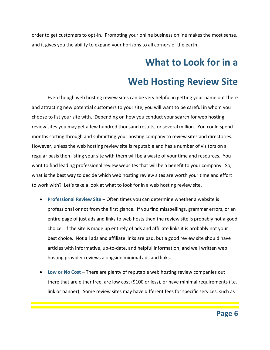order to get customers to opt-in. Promoting your online business online makes the most sense, and it gives you the ability to expand your horizons to all corners of the earth.

#### **What to Look for in a**

#### **Web Hosting Review Site**

Even though web hosting review sites can be very helpful in getting your name out there and attracting new potential customers to your site, you will want to be careful in whom you choose to list your site with. Depending on how you conduct your search for web hosting review sites you may get a few hundred thousand results, or several million. You could spend months sorting through and submitting your hosting company to review sites and directories. However, unless the web hosting review site is reputable and has a number of visitors on a regular basis then listing your site with them will be a waste of your time and resources. You want to find leading professional review websites that will be a benefit to your company. So, what is the best way to decide which web hosting review sites are worth your time and effort to work with? Let's take a look at what to look for in a web hosting review site.

- **Professional Review Site** Often times you can determine whether a website is professional or not from the first glance. If you find misspellings, grammar errors, or an entire page of just ads and links to web hosts then the review site is probably not a good choice. If the site is made up entirely of ads and affiliate links it is probably not your best choice. Not all ads and affiliate links are bad, but a good review site should have articles with informative, up-to-date, and helpful information, and well written web hosting provider reviews alongside minimal ads and links.
- **Low or No Cost** There are plenty of reputable web hosting review companies out there that are either free, are low cost (\$100 or less), or have minimal requirements (i.e. link or banner). Some review sites may have different fees for specific services, such as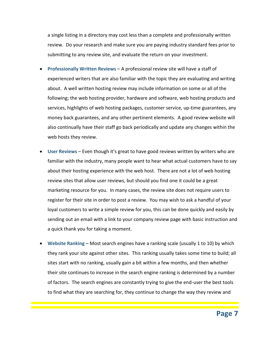a single listing in a directory may cost less than a complete and professionally written review. Do your research and make sure you are paying industry standard fees prior to submitting to any review site, and evaluate the return on your investment.

- **Professionally Written Reviews** A professional review site will have a staff of experienced writers that are also familiar with the topic they are evaluating and writing about. A well written hosting review may include information on some or all of the following; the web hosting provider, hardware and software, web hosting products and services, highlights of web hosting packages, customer service, up-time guarantees, any money back guarantees, and any other pertinent elements. A good review website will also continually have their staff go back periodically and update any changes within the web hosts they review.
- **User Reviews** Even though it's great to have good reviews written by writers who are familiar with the industry, many people want to hear what actual customers have to say about their hosting experience with the web host. There are not a lot of web hosting review sites that allow user reviews, but should you find one it could be a great marketing resource for you. In many cases, the review site does not require users to register for their site in order to post a review. You may wish to ask a handful of your loyal customers to write a simple review for you, this can be done quickly and easily by sending out an email with a link to your company review page with basic instruction and a quick thank you for taking a moment.
- **Website Ranking** Most search engines have a ranking scale (usually 1 to 10) by which they rank your site against other sites. This ranking usually takes some time to build; all sites start with no ranking, usually gain a bit within a few months, and then whether their site continues to increase in the search engine ranking is determined by a number of factors. The search engines are constantly trying to give the end-user the best tools to find what they are searching for, they continue to change the way they review and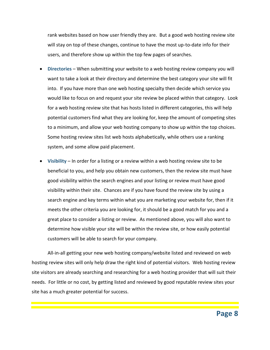rank websites based on how user friendly they are. But a good web hosting review site will stay on top of these changes, continue to have the most up-to-date info for their users, and therefore show up within the top few pages of searches.

- **Directories** When submitting your website to a web hosting review company you will want to take a look at their directory and determine the best category your site will fit into. If you have more than one web hosting specialty then decide which service you would like to focus on and request your site review be placed within that category. Look for a web hosting review site that has hosts listed in different categories, this will help potential customers find what they are looking for, keep the amount of competing sites to a minimum, and allow your web hosting company to show up within the top choices. Some hosting review sites list web hosts alphabetically, while others use a ranking system, and some allow paid placement.
- **Visibility** In order for a listing or a review within a web hosting review site to be beneficial to you, and help you obtain new customers, then the review site must have good visibility within the search engines and your listing or review must have good visibility within their site. Chances are if you have found the review site by using a search engine and key terms within what you are marketing your website for, then if it meets the other criteria you are looking for, it should be a good match for you and a great place to consider a listing or review. As mentioned above, you will also want to determine how visible your site will be within the review site, or how easily potential customers will be able to search for your company.

All-in-all getting your new web hosting company/website listed and reviewed on web hosting review sites will only help draw the right kind of potential visitors. Web hosting review site visitors are already searching and researching for a web hosting provider that will suit their needs. For little or no cost, by getting listed and reviewed by good reputable review sites your site has a much greater potential for success.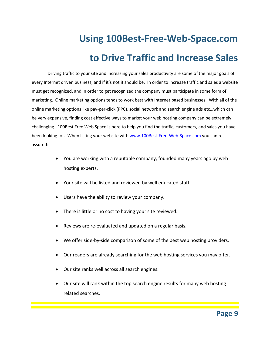# **Using 100Best-Free-Web-Space.com to Drive Traffic and Increase Sales**

Driving traffic to your site and increasing your sales productivity are some of the major goals of every Internet driven business, and if it's not it should be. In order to increase traffic and sales a website must get recognized, and in order to get recognized the company must participate in some form of marketing. Online marketing options tends to work best with Internet based businesses. With all of the online marketing options like pay-per-click (PPC), social network and search engine ads etc…which can be very expensive, finding cost effective ways to market your web hosting company can be extremely challenging. 100Best Free Web Space is here to help you find the traffic, customers, and sales you have been looking for. When listing your website with [www.100Best-Free-Web-Space.com](http://www.100best-free-web-space.com/) you can rest assured:

- You are working with a reputable company, founded many years ago by web hosting experts.
- Your site will be listed and reviewed by well educated staff.
- Users have the ability to review your company.
- There is little or no cost to having your site reviewed.
- Reviews are re-evaluated and updated on a regular basis.
- We offer side-by-side comparison of some of the best web hosting providers.
- Our readers are already searching for the web hosting services you may offer.
- Our site ranks well across all search engines.
- Our site will rank within the top search engine results for many web hosting related searches.